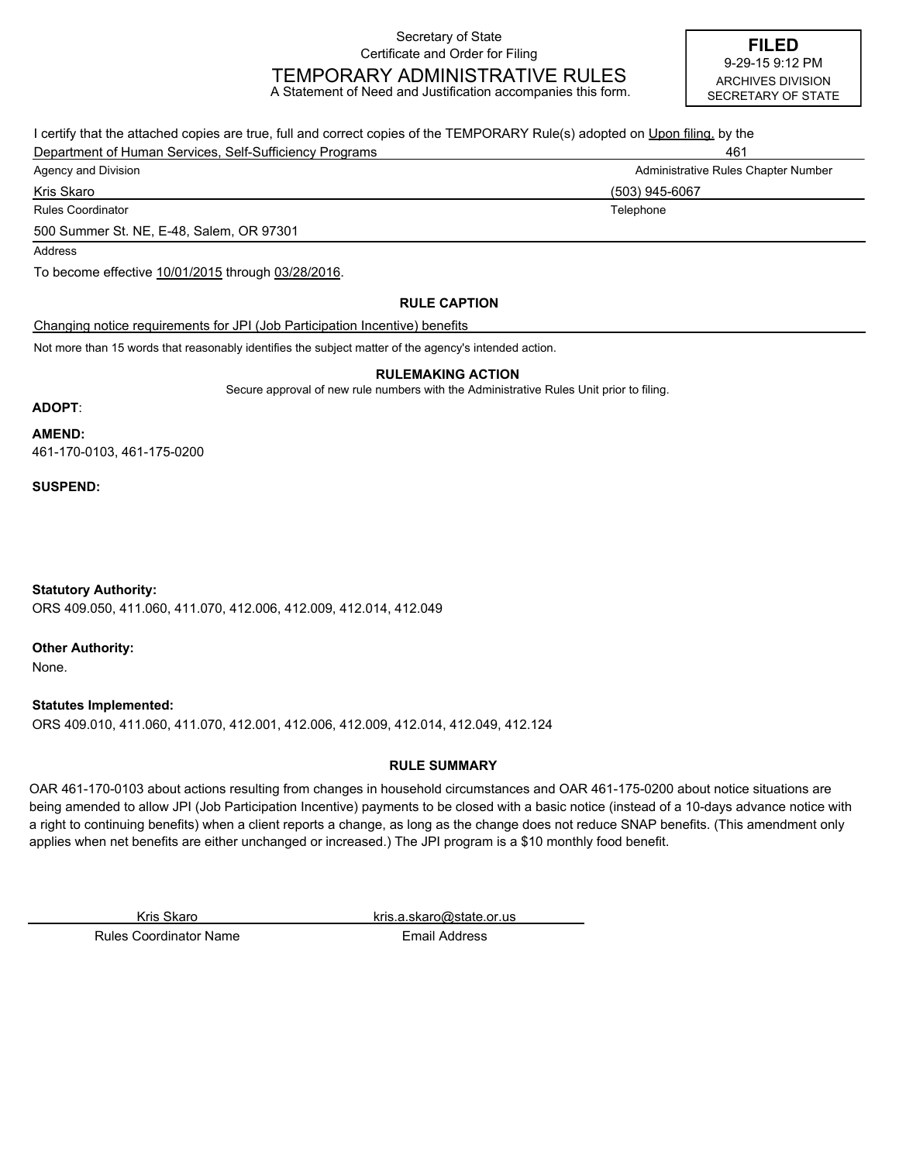Secretary of State Certificate and Order for Filing

# TEMPORARY ADMINISTRATIVE RULES

A Statement of Need and Justification accompanies this form.

**FILED** ARCHIVES DIVISION SECRETARY OF STATE 9-29-15 9:12 PM

| I certify that the attached copies are true, full and correct copies of the TEMPORARY Rule(s) adopted on Upon filing, by the |                                     |
|------------------------------------------------------------------------------------------------------------------------------|-------------------------------------|
| Department of Human Services, Self-Sufficiency Programs                                                                      | 461                                 |
| Agency and Division                                                                                                          | Administrative Rules Chapter Number |
| Kris Skaro                                                                                                                   | (503) 945-6067                      |
| <b>Rules Coordinator</b>                                                                                                     | Telephone                           |
| 500 Summer St. NE, E-48, Salem, OR 97301                                                                                     |                                     |
| Address                                                                                                                      |                                     |
| To become effective 10/01/2015 through 03/28/2016.                                                                           |                                     |
| <b>RULE CAPTION</b>                                                                                                          |                                     |
| Changing notice requirements for JPI (Job Participation Incentive) benefits                                                  |                                     |
|                                                                                                                              |                                     |

Not more than 15 words that reasonably identifies the subject matter of the agency's intended action.

#### **RULEMAKING ACTION**

Secure approval of new rule numbers with the Administrative Rules Unit prior to filing.

#### **ADOPT**:

**AMEND:**

461-170-0103, 461-175-0200

**SUSPEND:**

ORS 409.050, 411.060, 411.070, 412.006, 412.009, 412.014, 412.049 **Statutory Authority:**

**Other Authority:**

None.

ORS 409.010, 411.060, 411.070, 412.001, 412.006, 412.009, 412.014, 412.049, 412.124 **Statutes Implemented:**

#### **RULE SUMMARY**

OAR 461-170-0103 about actions resulting from changes in household circumstances and OAR 461-175-0200 about notice situations are being amended to allow JPI (Job Participation Incentive) payments to be closed with a basic notice (instead of a 10-days advance notice with a right to continuing benefits) when a client reports a change, as long as the change does not reduce SNAP benefits. (This amendment only applies when net benefits are either unchanged or increased.) The JPI program is a \$10 monthly food benefit.

Kris Skaro kris.a.skaro@state.or.us

Rules Coordinator Name **Email Address**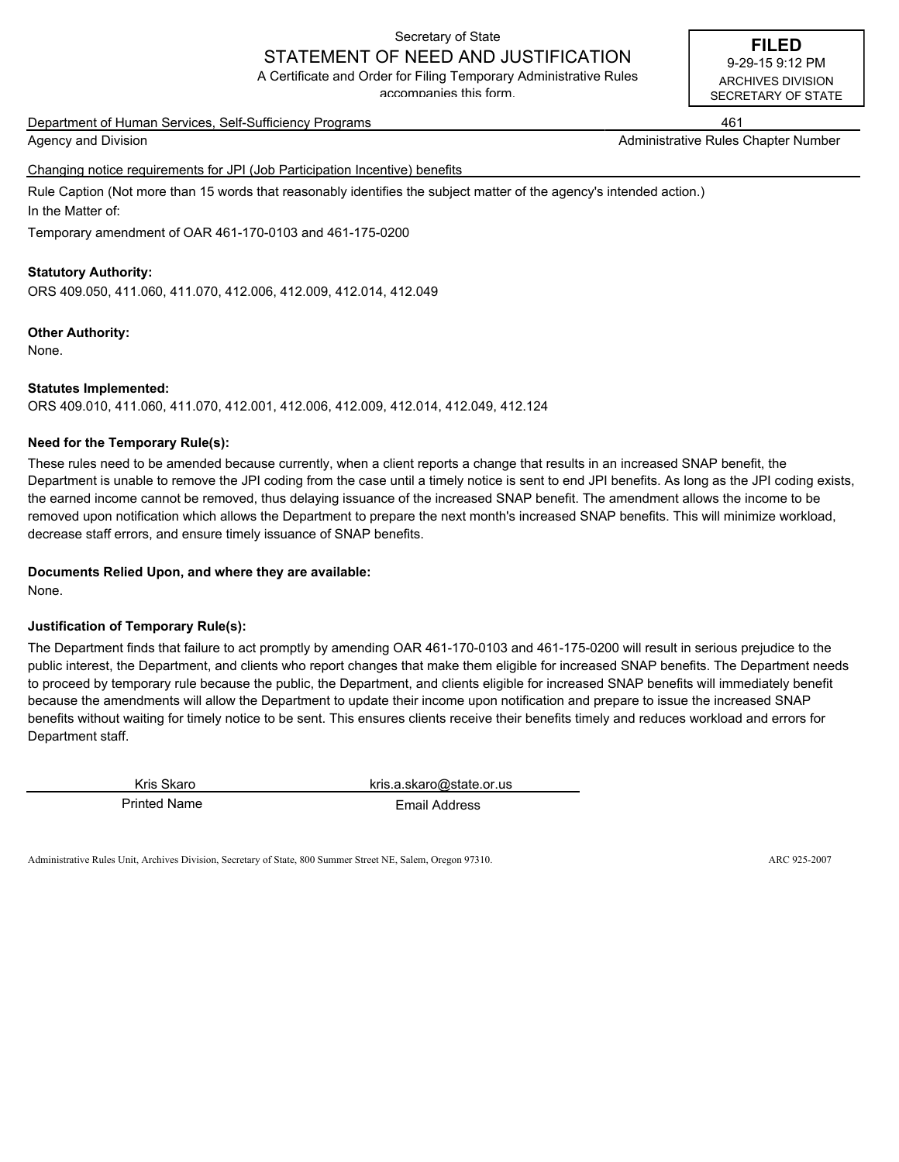## Secretary of State

#### STATEMENT OF NEED AND JUSTIFICATION A Certificate and Order for Filing Temporary Administrative Rules

accompanies this form.

Department of Human Services, Self-Sufficiency Programs 461

Agency and Division Administrative Rules Chapter Number (Administrative Rules Chapter Number

Changing notice requirements for JPI (Job Participation Incentive) benefits

Rule Caption (Not more than 15 words that reasonably identifies the subject matter of the agency's intended action.) In the Matter of:

Temporary amendment of OAR 461-170-0103 and 461-175-0200

#### **Statutory Authority:**

ORS 409.050, 411.060, 411.070, 412.006, 412.009, 412.014, 412.049

#### **Other Authority:**

None.

#### **Statutes Implemented:**

ORS 409.010, 411.060, 411.070, 412.001, 412.006, 412.009, 412.014, 412.049, 412.124

#### **Need for the Temporary Rule(s):**

These rules need to be amended because currently, when a client reports a change that results in an increased SNAP benefit, the Department is unable to remove the JPI coding from the case until a timely notice is sent to end JPI benefits. As long as the JPI coding exists, the earned income cannot be removed, thus delaying issuance of the increased SNAP benefit. The amendment allows the income to be removed upon notification which allows the Department to prepare the next month's increased SNAP benefits. This will minimize workload, decrease staff errors, and ensure timely issuance of SNAP benefits.

#### **Documents Relied Upon, and where they are available:**

None.

#### **Justification of Temporary Rule(s):**

The Department finds that failure to act promptly by amending OAR 461-170-0103 and 461-175-0200 will result in serious prejudice to the public interest, the Department, and clients who report changes that make them eligible for increased SNAP benefits. The Department needs to proceed by temporary rule because the public, the Department, and clients eligible for increased SNAP benefits will immediately benefit because the amendments will allow the Department to update their income upon notification and prepare to issue the increased SNAP benefits without waiting for timely notice to be sent. This ensures clients receive their benefits timely and reduces workload and errors for Department staff.

Printed Name **Email Address** Kris Skaro kris.a.skaro@state.or.us

Administrative Rules Unit, Archives Division, Secretary of State, 800 Summer Street NE, Salem, Oregon 97310. ARC 925-2007

SECRETARY OF STATE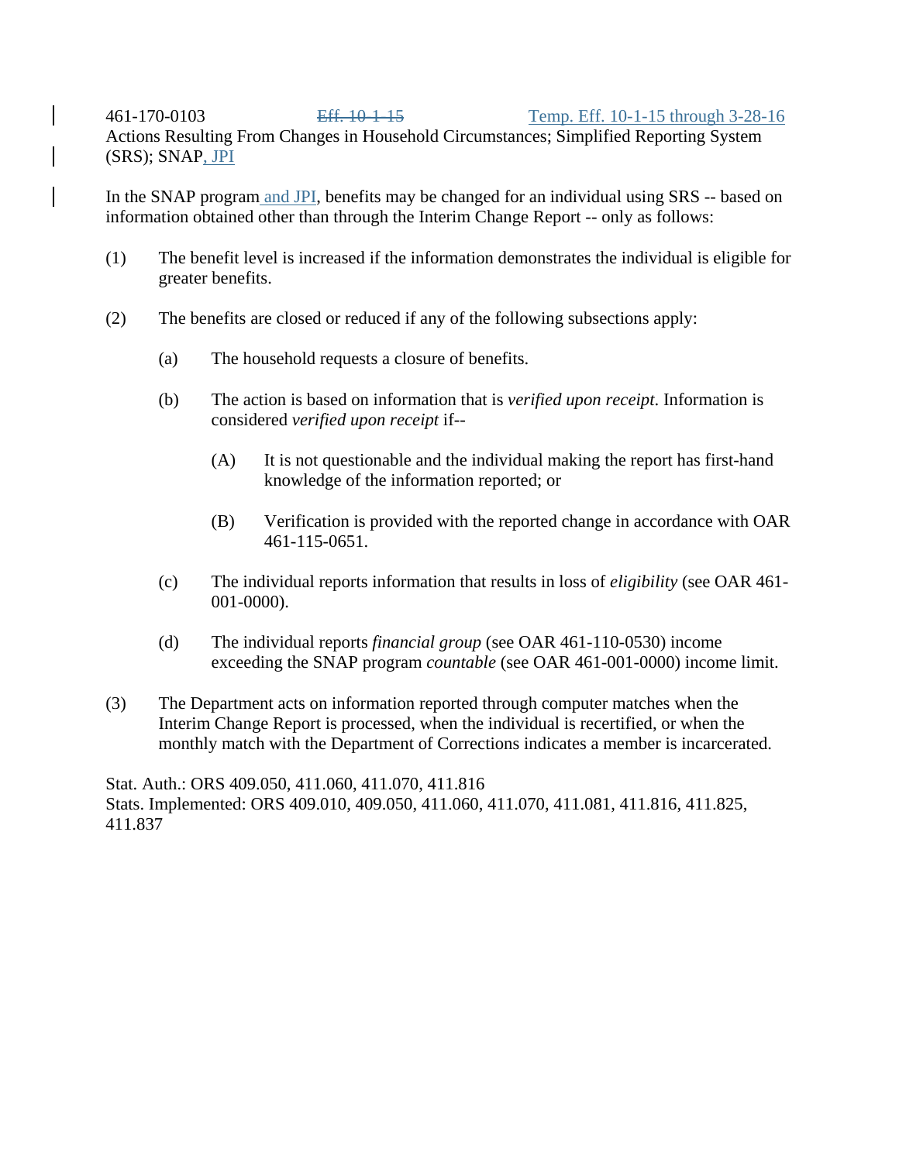### 461-170-0103 Eff. 10-1-15 Temp. Eff. 10-1-15 through 3-28-16 Actions Resulting From Changes in Household Circumstances; Simplified Reporting System (SRS); SNAP, JPI

In the SNAP program and JPI, benefits may be changed for an individual using SRS -- based on information obtained other than through the Interim Change Report -- only as follows:

- (1) The benefit level is increased if the information demonstrates the individual is eligible for greater benefits.
- (2) The benefits are closed or reduced if any of the following subsections apply:
	- (a) The household requests a closure of benefits.
	- (b) The action is based on information that is *verified upon receipt*. Information is considered *verified upon receipt* if--
		- (A) It is not questionable and the individual making the report has first-hand knowledge of the information reported; or
		- (B) Verification is provided with the reported change in accordance with OAR 461-115-0651.
	- (c) The individual reports information that results in loss of *eligibility* (see OAR 461- 001-0000).
	- (d) The individual reports *financial group* (see OAR 461-110-0530) income exceeding the SNAP program *countable* (see OAR 461-001-0000) income limit.
- (3) The Department acts on information reported through computer matches when the Interim Change Report is processed, when the individual is recertified, or when the monthly match with the Department of Corrections indicates a member is incarcerated.

Stat. Auth.: ORS 409.050, 411.060, 411.070, 411.816 Stats. Implemented: ORS 409.010, 409.050, 411.060, 411.070, 411.081, 411.816, 411.825, 411.837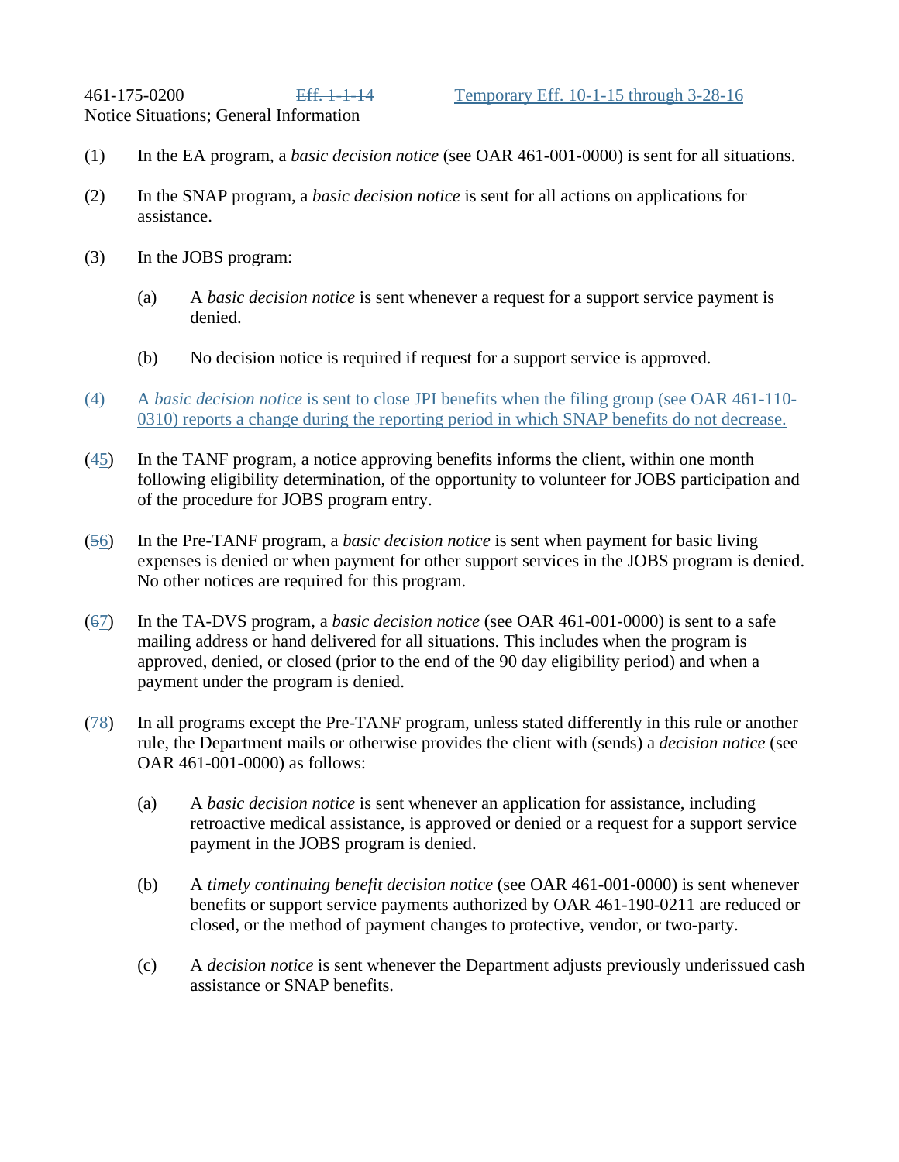Notice Situations; General Information

- (1) In the EA program, a *basic decision notice* (see OAR 461-001-0000) is sent for all situations.
- (2) In the SNAP program, a *basic decision notice* is sent for all actions on applications for assistance.
- (3) In the JOBS program:
	- (a) A *basic decision notice* is sent whenever a request for a support service payment is denied.
	- (b) No decision notice is required if request for a support service is approved.
- (4) A *basic decision notice* is sent to close JPI benefits when the filing group (see OAR 461-110- 0310) reports a change during the reporting period in which SNAP benefits do not decrease.
- (45) In the TANF program, a notice approving benefits informs the client, within one month following eligibility determination, of the opportunity to volunteer for JOBS participation and of the procedure for JOBS program entry.
- (56) In the Pre-TANF program, a *basic decision notice* is sent when payment for basic living expenses is denied or when payment for other support services in the JOBS program is denied. No other notices are required for this program.
- (67) In the TA-DVS program, a *basic decision notice* (see OAR 461-001-0000) is sent to a safe mailing address or hand delivered for all situations. This includes when the program is approved, denied, or closed (prior to the end of the 90 day eligibility period) and when a payment under the program is denied.
- (78) In all programs except the Pre-TANF program, unless stated differently in this rule or another rule, the Department mails or otherwise provides the client with (sends) a *decision notice* (see OAR 461-001-0000) as follows:
	- (a) A *basic decision notice* is sent whenever an application for assistance, including retroactive medical assistance, is approved or denied or a request for a support service payment in the JOBS program is denied.
	- (b) A *timely continuing benefit decision notice* (see OAR 461-001-0000) is sent whenever benefits or support service payments authorized by OAR 461-190-0211 are reduced or closed, or the method of payment changes to protective, vendor, or two-party.
	- (c) A *decision notice* is sent whenever the Department adjusts previously underissued cash assistance or SNAP benefits.